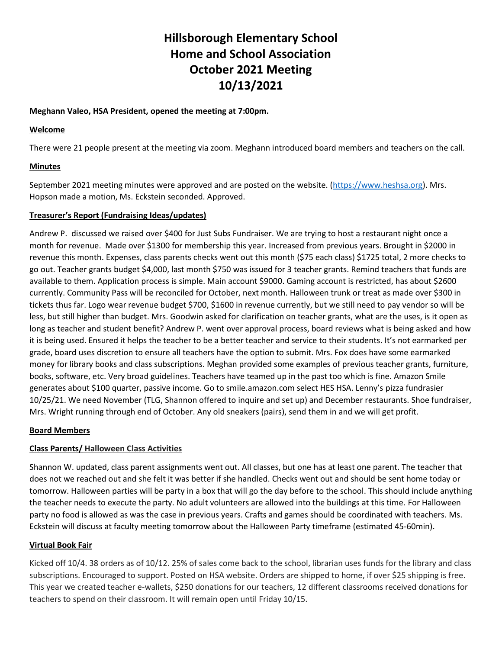# **Hillsborough Elementary School Home and School Association October 2021 Meeting 10/13/2021**

## **Meghann Valeo, HSA President, opened the meeting at 7:00pm.**

## **Welcome**

There were 21 people present at the meeting via zoom. Meghann introduced board members and teachers on the call.

# **Minutes**

September 2021 meeting minutes were approved and are posted on the website. [\(https://www.heshsa.org\)](https://www.heshsa.org/). Mrs. Hopson made a motion, Ms. Eckstein seconded. Approved.

## **Treasurer's Report (Fundraising Ideas/updates)**

Andrew P. discussed we raised over \$400 for Just Subs Fundraiser. We are trying to host a restaurant night once a month for revenue. Made over \$1300 for membership this year. Increased from previous years. Brought in \$2000 in revenue this month. Expenses, class parents checks went out this month (\$75 each class) \$1725 total, 2 more checks to go out. Teacher grants budget \$4,000, last month \$750 was issued for 3 teacher grants. Remind teachers that funds are available to them. Application process is simple. Main account \$9000. Gaming account is restricted, has about \$2600 currently. Community Pass will be reconciled for October, next month. Halloween trunk or treat as made over \$300 in tickets thus far. Logo wear revenue budget \$700, \$1600 in revenue currently, but we still need to pay vendor so will be less, but still higher than budget. Mrs. Goodwin asked for clarification on teacher grants, what are the uses, is it open as long as teacher and student benefit? Andrew P. went over approval process, board reviews what is being asked and how it is being used. Ensured it helps the teacher to be a better teacher and service to their students. It's not earmarked per grade, board uses discretion to ensure all teachers have the option to submit. Mrs. Fox does have some earmarked money for library books and class subscriptions. Meghan provided some examples of previous teacher grants, furniture, books, software, etc. Very broad guidelines. Teachers have teamed up in the past too which is fine. Amazon Smile generates about \$100 quarter, passive income. Go to smile.amazon.com select HES HSA. Lenny's pizza fundrasier 10/25/21. We need November (TLG, Shannon offered to inquire and set up) and December restaurants. Shoe fundraiser, Mrs. Wright running through end of October. Any old sneakers (pairs), send them in and we will get profit.

# **Board Members**

# **Class Parents/ Halloween Class Activities**

Shannon W. updated, class parent assignments went out. All classes, but one has at least one parent. The teacher that does not we reached out and she felt it was better if she handled. Checks went out and should be sent home today or tomorrow. Halloween parties will be party in a box that will go the day before to the school. This should include anything the teacher needs to execute the party. No adult volunteers are allowed into the buildings at this time. For Halloween party no food is allowed as was the case in previous years. Crafts and games should be coordinated with teachers. Ms. Eckstein will discuss at faculty meeting tomorrow about the Halloween Party timeframe (estimated 45-60min).

# **Virtual Book Fair**

Kicked off 10/4. 38 orders as of 10/12. 25% of sales come back to the school, librarian uses funds for the library and class subscriptions. Encouraged to support. Posted on HSA website. Orders are shipped to home, if over \$25 shipping is free. This year we created teacher e-wallets, \$250 donations for our teachers, 12 different classrooms received donations for teachers to spend on their classroom. It will remain open until Friday 10/15.